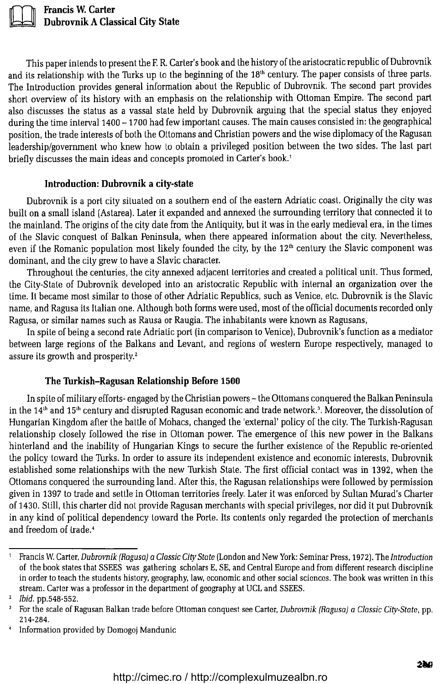

**Francis W. Carter Dubrovnik A Classical City State** 

This paper inlends to present the F. R. Carter's book and the history of the aristocratic republic of Dubrovnik and its relationship with the Turks up to the beginning of the 18<sup>th</sup> century. The paper consists of three parts. The Introduction provides general information about the Republic of Dubrovnik. The second part provides short overview of its history with an emphasis on the relationship with Ottoman Empire. The second part also discusses the status as a vassal stale held by Dubrovnik arguing that the special status they enjoyed during the time interval 1400 - 1700 had few important causes. The main causes consisted in: the geographical position, the trade interesls of both the Ottomans and Christian powers and the wise diplomacy of the Ragusan leadership/government who knew how to obtain a privileged position between the two sides. The last part briefly discusses the main ideas and concepts promoted in Carter's book.<sup>1</sup>

## **Introduction: Dubrovnik a city-state**

Dubrovnik is a port city situated on a soulhern end of the eastern Adriatic coast. Originally the city was built on a small island (Astarea). Later it expanded and annexed the surrounding territory that connected it to the mainland. The origins of the city date from the Antiquity, but it was in the early medieval era, in the times of the Slavic conquest of Balkan Peninsula, when there appeared informalion about the city. Nevertheless, even if the Romanic population most likely founded the city, by the 12<sup>th</sup> century the Slavic component was dominant, and the city grew to have a Slavic character.

Throughoul the centuries, the city annexed adjacent territories and created a political unit. Thus formed, the City-Stale of Dubrovnik developed into an aristocratic Republic with internal an organization over Lhe time. It became most similar to those of other Adriatic Republics, such as Venice, etc. Dubrovnik is the Slavic name, and Ragusa its Italian one. Although both forms were used, most of the official documents recorded only Ragusa, or similar names such as Rausa or Raugia. The inhabitanls were known as Ragusans,

In spite of being a second rate Adriatic port (in comparison to Venice), Dubrovnik's function as a mediator between large regions of the Balkans and Levant, and regions of western Europe respectively, managed to assure its growth and prosperity.<sup>2</sup>

## **The Turkish-Ragusan Relationship Before 1500**

In spite of military efforts- engaged by the Chrislian powers- the Ottomans conquered the Balkan Peninsula in the  $14<sup>th</sup>$  and  $15<sup>th</sup>$  century and disrupted Ragusan economic and trade network.<sup>3</sup>. Moreover, the dissolution of Hungarian Kingdom after the battle of Mohacs, changed the 'external' policy of the city. The Turkish-Ragusan relationship closely followed the rise in Ottoman power. The emergence of this new power in the Balkans hinterland and the inability of Hungarian Kings to secure the further existence of the Republic re-oriented the policy toward the Turks. In order to assure its independent existence and economic interests, Dubrovnik established some relationships with the new Turkish State. The first official contact was in 1392, when Lhe Ottomans conquered the surrounding land. After this, the Ragusan relationships were followed by permission given in 1397 to trade and settle in Ottoman territories freely. Laler it was enforced by Sullan Murad's Charter of 1430. Still, this charter did nol provide Ragusan merchants with special privileges, nor did it put Dubrovnik in any kind of political dependency toward the Porte. Its contents only regarded the protection of merchants and freedom of Irade.<sup>4</sup>

<sup>1</sup> Francis W. Carter, *Dubrovnik (Ragusa] a* CJassic City *State* (London and New York: Seminar Press, 1972). The *Jntroduction*  of the book states that SSEES was gathering scholars E, SE, and Central Europe and from different research discipline in order to teach the students history, geography, law, economic and other social scicnces. The book was written in this stream. Carter was a professor in the department of geography at UCL and SSEES.

<sup>z</sup>*Ibid.* pp.548-552. 3 For the scale of Ragusan Balkan trade before Ottoman conquest see Carter, *Dubrovnik (Ragusa) a* CJassic *City-State,* pp. 214-284. 4 Information providcd by Domogoj Mandunic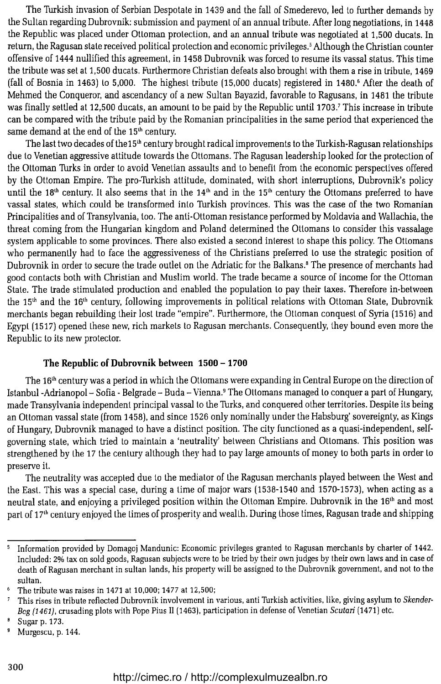The Turkish invasion of Serbian Despotate in 1439 and the fall of Smederevo, led to further demands by the Sultan regarding Dubrovnik: submission and payment of an annual tribute. After long negotiations, in 1448 the Republic was placed under Otloman protection, and an annual tribute was negotiated at 1,500 ducats. In return, the Ragusan state received political protection and economic privileges.<sup>5</sup> Although the Christian counter offensive of 1444 nullified this agreement, in 1458 Dubrovnik was forced to resume its vassal status. This time the tribute was set al 1,500 ducats. Furthermore Christian defeats also brought with them a rise in tribute, 1469 (fall of Bosnia in 1463) to 5,000. The highest tribute (15,000 ducats) registered in 1480.<sup>6</sup> After the death of Mehmed the Conqueror, and ascendancy of a new Sultan Bayazid, favorable to Ragusans, in 1481 the tribute was finally settled at 12,500 ducats, an amount to be paid by the Republic until 1703.<sup>7</sup> This increase in tribute can be compared with the tribute paid by the Romanian principalities in the same period that experienced the same demand at the end of the  $15<sup>th</sup>$  century.

The last two decades of the15<sup>th</sup> century brought radical improvements to the Turkish-Ragusan relationships due to Venetian aggressive attitude towards the Ottomans. The Ragusan leadership looked for the protection of the Ottoman Turks in order to avoid Venetian assaults and to benefit from the economic perspectives offered by the Ottoman Empire. The pro-Turkish attitude, dominated, with short interruptions, Dubrovnik's policy until the 18<sup>th</sup> century. It also seems that in the 14<sup>th</sup> and in the 15<sup>th</sup> century the Ottomans preferred to have vassal states, which could be transformed into Turkish provinces. This was the case of the two Romanian Principalities and of Transylvania, too. The anti-Ottoman resistance performed by Moldavia and Wallachia, the threat coming from the Hungarian kingdom and Poland determined the Ollomans to consider this vassalage system applicable to some provinces. There also existed a second interest to shape this policy. The Otlomans who permanently had to face the aggressiveness of the Christians preferred to use the strategic position of Dubrovnik in order to secure the trade outlet on the Adriatic for the Balkans.8 The presence of merchants had good contacts both with Christian and Muslim world. The trade became a source of income for the Ottoman State. The trade stimulated production and enabled the population to pay their taxes. Therefore in-between the 15<sup>th</sup> and the 16<sup>th</sup> century, following improvements in political relations with Ottoman State, Dubrovnik merchants began rebuilding their lost trade "empire". Furthermore, the Ottoman conquest of Syria (1516) and Egypt (1517) opened these new, rich markets to Ragusan merchants. Consequently, they bound even more the Republic to its new protector.

## The Republic of Dubrovnik between  $1500 - 1700$

The 16<sup>th</sup> century was a period in which the Ottomans were expanding in Central Europe on the direction of Istanbul-Adrianopol- Sofia- Belgrade- Buda- Vienna.9 The Ottomans managed to conquer a part of Hungary, made Transylvania independent principal vassal to the Turks, and conquered other territories. Despite ils being an Ottoman vassal state (from 1458), and since 1526 only nominally under the Habsburg' sovereignty, as Kings of Hungary, Dubrovnik managed to have a distinct position. The city functioned as a quasi-independent, selfgoverning state, which lried to maintain a 'neutrality' between Christians and Otlomans. This position was strengthened by the 17 the century although they had to pay large amounts of money to both parts in order to preserve it.

The neutrality was accepted due to the mediator of the Ragusan merchants played between the West and the East. This was a special case, during a time of major wars (1538-1540 and 1570-1573), when acting as a neutral state, and enjoying a privileged position within the Olloman Empire. Dubrovnik in the 161 <sup>h</sup>and most part of 17<sup>th</sup> century enjoyed the times of prosperity and wealth. During those times, Ragusan trade and shipping

<sup>5</sup> Information provided by Domagoj Mandunic: Economic privileges granted to Ragusan merchants by charter of 1442. Included: 2% tax on sold goods, Ragusan subjects wcre to be tried by their own judges by their own laws and in case of death of Ragusan merchant in sultan lands, his property will be assigned to the Dubrovnik government, and not to the sultan. 6 The tribute was raises in 1471 at 10,000; 1477 at 12,500;

This rises in tribute rcflected Dubrovnik involvemcnt in various, an ti Turkish activities, like, giving asylum to *Skender-* $\overline{z}$ *Bcg (1461)*, crusading plots with Pope Pius II (1463), participation in defense of Venetian *Scutari* (1471) etc.

 $B$  Sugar p. 173.

<sup>9</sup> Murgescu, p. 144.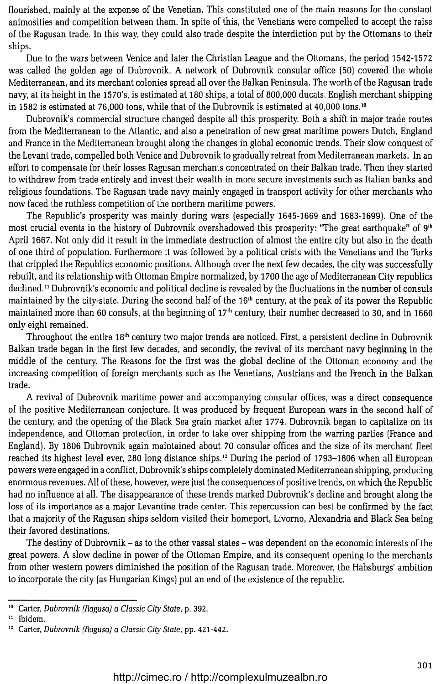flourished, mainly at the expense of the Venetian. This constituted one of the main reasons for the constant animosities and competition between them. In spite of this, the Venetians were compelled to accept the raise of the Ragusan trade. In this way, they could also trade despite the interdiction put by the Ottomans to their ships.

Due to the wars between Venice and later the Christian League and the Otlomans, the period 1542-1572 was called the golden age of Dubrovnik. A network of Dubrovnik consular office (50) covered the whole Mediterranean, and ils merchant colonies spread all over the Balkan Peninsula. The worth of the Ragusan trade navy, al its height in the 1570's, is estimated al 180 ships, a total of 800,000 ducats. English merchant shipping in 1582 is estimated at 76,000 tons, while that of the Dubrovnik is estimated at 40,000 tons.<sup>10</sup>

Dubrovnik's commercial structure changed despite all this prosperity. Both a shift in major trade routes from the Mediterranean to the Atlantic, and also a penelration of new great maritime powers Dutch, England and France in the Mediterranean brought along the changes in global economic lrends. Their slow conquest of the Levant trade, compelled bolh Venice and Dubrovnik to gradually retreat from Mediterranean markets. In an effort to compensate for their losses Ragusan merchants concentrated on their Balkan trade. Then they started to withdrew from trade entirely and invest their weallh in more secure investments such as Italian banks and religious foundations. The Ragusan trade navy mainly engaged in transport activity for other merchants who now faced the ruthless competition of the northern maritime powers.

The Republic's prosperity was mainly during wars (especially 1645-1669 and 1683-1699). One of the most crucial events in the history of Dubrovnik overshadowed this prosperity: "The great earthquake" of  $9^{\rm th}$ April 1667. Not only did it result in the immediate destruction of almost the entire city but also in the death of one third of population. Furthermore it was followed by a political crisis with the Venetians and the Turks that crippled the Republics economic positions. Although over the next few decades, the city was successfully rebuilt, and ils relationship with Ottoman Empire normalized, by 1700 the age of Mediterranean City republics declined.<sup>11</sup> Dubrovnik's economic and political decline is revealed by the fluctuations in the number of consuls maintained by the cily-slale. During lhe second half of the 161 h century, at the peak of its power the Republic maintained more than 60 consuls, at the beginning of 17<sup>th</sup> century, their number decreased to 30, and in 1660 only eighl remained.

Throughout the entire 18<sup>th</sup> century two major trends are noticed. First, a persistent decline in Dubrovnik Balkan trade began in the first few decades, and secondly, the revival of its merchant navy beginning in the middle of the century. The Reasons for the first was the global decline of the Otloman economy and the increasing competition of foreign merchants such as the Venetians, Austrians and the French in the Balkan trade.

A revival of Dubrovnik maritime power and accompanying consular offices, was a direct consequence of the positive Mediterranean conjecture. It was produced by frequent European wars in the second half of the century, and the opening of the Black Sea grain market afler 1774. Dubrovnik began to capitalize on its independence, and Otloman protection, in order lo take over shipping from the warring parlies (France and England). By 1806 Dubrovnik again maintained about 70 consular offices and the size of ils merchant fleet reached its highest level ever, 280 long distance ships. 12 During the period of 1793-1806 when all European powers were engaged in a conflict, Dubrovnik's ships completely dominated Mediterranean shipping, producing enormous revenues. All of these, however, were just the consequences of positive trends, on which the Republic had no infiuence at all. The disappearance of these lrends marked Dubrovnik's decline and brought along the loss of ils importance as a major Levantine trade center. This repercussion can best be confirmed by the facl Lhat a majorily of the Ragusan ships seldom visiled their homeport, Livorno, Alexandria and Black Sea being their favored destinations.

The destiny of Dubrovnik - as to the other vassal states - was dependent on the economic interests of the great powers. A slow decline in power of the Ottoman Empire, and ils consequent opening lo the merchants from other weslern powers diminished the position of the Ragusan trade. Moreover, the Habsburgs' ambition to incorporate the city (as Hungarian Kings) put an end of the existence of the republic.

<sup>&</sup>lt;sup>10</sup> Carter, Dubrovnik (Ragusa) a Classic City State, p. 392.

<sup>&</sup>lt;sup>11</sup> Ibidem.<br><sup>12</sup> Carter, *Dubrovnik (Ragusa) a Classic City State*, pp. 421-442.